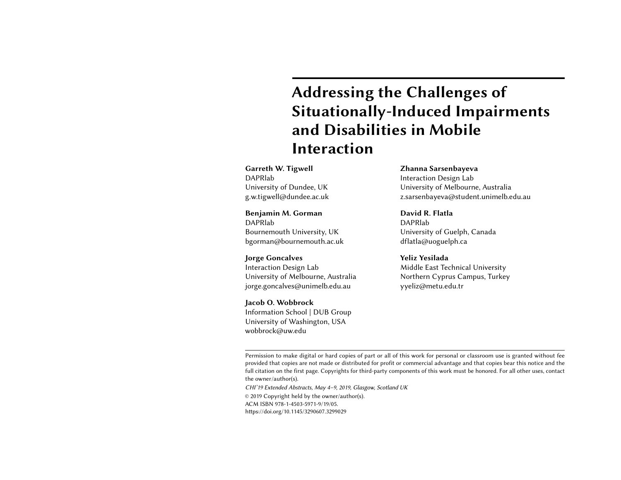# Addressing the Challenges of Situationally-Induced Impairments and Disabilities in Mobile Interaction

Garreth W. Tigwell DAPRlab University of Dundee, UK g.w.tigwell@dundee.ac.uk

Benjamin M. Gorman DAPRlab Bournemouth University, UK bgorman@bournemouth.ac.uk

Jorge Goncalves Interaction Design Lab University of Melbourne, Australia jorge.goncalves@unimelb.edu.au

Jacob O. Wobbrock Information School | DUB Group University of Washington, USA wobbrock@uw.edu

Zhanna Sarsenbayeva Interaction Design Lab University of Melbourne, Australia z.sarsenbayeva@student.unimelb.edu.au

David R. Flatla DAPRlab University of Guelph, Canada dflatla@uoguelph.ca

Yeliz Yesilada Middle East Technical University Northern Cyprus Campus, Turkey yyeliz@metu.edu.tr

Permission to make digital or hard copies of part or all of this work for personal or classroom use is granted without fee provided that copies are not made or distributed for profit or commercial advantage and that copies bear this notice and the full citation on the first page. Copyrights for third-party components of this work must be honored. For all other uses, contact the owner/author(s).

CHI'19 Extended Abstracts, May 4–9, 2019, Glasgow, Scotland UK © 2019 Copyright held by the owner/author(s). ACM ISBN 978-1-4503-5971-9/19/05. <https://doi.org/10.1145/3290607.3299029>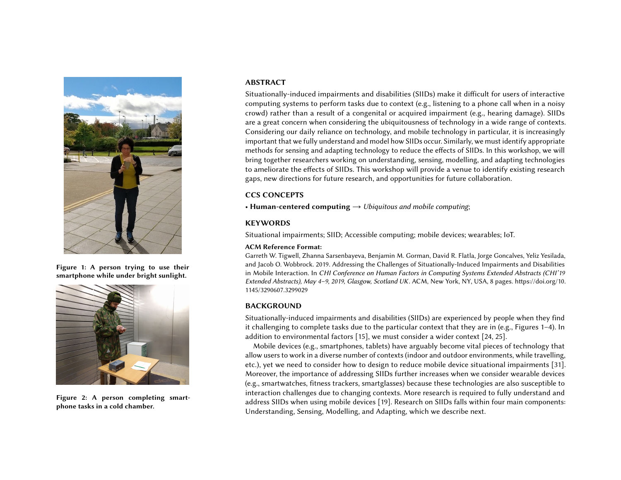

Figure 1: A person trying to use their smartphone while under bright sunlight.



Figure 2: A person completing smartphone tasks in a cold chamber.

# ABSTRACT

Situationally-induced impairments and disabilities (SIIDs) make it difficult for users of interactive computing systems to perform tasks due to context (e.g., listening to a phone call when in a noisy crowd) rather than a result of a congenital or acquired impairment (e.g., hearing damage). SIIDs are a great concern when considering the ubiquitousness of technology in a wide range of contexts. Considering our daily reliance on technology, and mobile technology in particular, it is increasingly important that we fully understand and model how SIIDs occur. Similarly, we must identify appropriate methods for sensing and adapting technology to reduce the effects of SIIDs. In this workshop, we will bring together researchers working on understanding, sensing, modelling, and adapting technologies to ameliorate the effects of SIIDs. This workshop will provide a venue to identify existing research gaps, new directions for future research, and opportunities for future collaboration.

# <span id="page-1-0"></span>CCS CONCEPTS

• Human-centered computing  $\rightarrow$  Ubiquitous and mobile computing;

# **KEYWORDS**

Situational impairments; SIID; Accessible computing; mobile devices; wearables; IoT.

# ACM Reference Format:

Garreth W. Tigwell, Zhanna Sarsenbayeva, Benjamin M. Gorman, David R. Flatla, Jorge Goncalves, Yeliz Yesilada, and Jacob O. Wobbrock. 2019. Addressing the Challenges of Situationally-Induced Impairments and Disabilities in Mobile Interaction. In CHI Conference on Human Factors in Computing Systems Extended Abstracts (CHI'19 Extended Abstracts), May 4–9, 2019, Glasgow, Scotland UK. ACM, New York, NY, USA, [8](#page-7-0) pages. [https://doi.org/10.](https://doi.org/10.1145/3290607.3299029) [1145/3290607.3299029](https://doi.org/10.1145/3290607.3299029)

# BACKGROUND

Situationally-induced impairments and disabilities (SIIDs) are experienced by people when they find it challenging to complete tasks due to the particular context that they are in (e.g., Figures [1](#page-1-0)[–4\)](#page-2-0). In addition to environmental factors [\[15\]](#page-6-0), we must consider a wider context [\[24,](#page-7-1) [25\]](#page-7-2).

Mobile devices (e.g., smartphones, tablets) have arguably become vital pieces of technology that allow users to work in a diverse number of contexts (indoor and outdoor environments, while travelling, etc.), yet we need to consider how to design to reduce mobile device situational impairments [\[31\]](#page-7-3). Moreover, the importance of addressing SIIDs further increases when we consider wearable devices (e.g., smartwatches, fitness trackers, smartglasses) because these technologies are also susceptible to interaction challenges due to changing contexts. More research is required to fully understand and address SIIDs when using mobile devices [\[19\]](#page-7-4). Research on SIIDs falls within four main components: Understanding, Sensing, Modelling, and Adapting, which we describe next.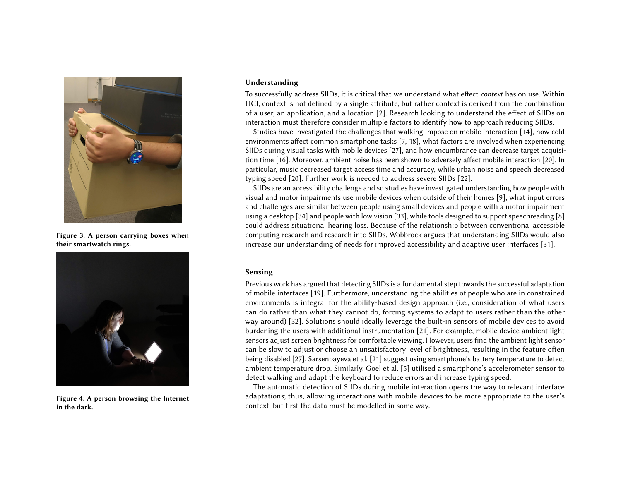

Figure 3: A person carrying boxes when their smartwatch rings.



Figure 4: A person browsing the Internet in the dark.

# <span id="page-2-0"></span>Understanding

To successfully address SIIDs, it is critical that we understand what effect context has on use. Within HCI, context is not defined by a single attribute, but rather context is derived from the combination of a user, an application, and a location [\[2\]](#page-6-1). Research looking to understand the effect of SIIDs on interaction must therefore consider multiple factors to identify how to approach reducing SIIDs.

Studies have investigated the challenges that walking impose on mobile interaction [\[14\]](#page-6-2), how cold environments affect common smartphone tasks [\[7,](#page-6-3) [18\]](#page-7-5), what factors are involved when experiencing SIIDs during visual tasks with mobile devices [\[27\]](#page-7-6), and how encumbrance can decrease target acquisition time [\[16\]](#page-7-7). Moreover, ambient noise has been shown to adversely affect mobile interaction [\[20\]](#page-7-8). In particular, music decreased target access time and accuracy, while urban noise and speech decreased typing speed [\[20\]](#page-7-8). Further work is needed to address severe SIIDs [\[22\]](#page-7-9).

SIIDs are an accessibility challenge and so studies have investigated understanding how people with visual and motor impairments use mobile devices when outside of their homes [\[9\]](#page-6-4), what input errors and challenges are similar between people using small devices and people with a motor impairment using a desktop [\[34\]](#page-7-10) and people with low vision [\[33\]](#page-7-11), while tools designed to support speechreading [\[8\]](#page-6-5) could address situational hearing loss. Because of the relationship between conventional accessible computing research and research into SIIDs, Wobbrock argues that understanding SIIDs would also increase our understanding of needs for improved accessibility and adaptive user interfaces [\[31\]](#page-7-3).

### Sensing

Previous work has argued that detecting SIIDs is a fundamental step towards the successful adaptation of mobile interfaces [\[19\]](#page-7-4). Furthermore, understanding the abilities of people who are in constrained environments is integral for the ability-based design approach (i.e., consideration of what users can do rather than what they cannot do, forcing systems to adapt to users rather than the other way around) [\[32\]](#page-7-12). Solutions should ideally leverage the built-in sensors of mobile devices to avoid burdening the users with additional instrumentation [\[21\]](#page-7-13). For example, mobile device ambient light sensors adjust screen brightness for comfortable viewing. However, users find the ambient light sensor can be slow to adjust or choose an unsatisfactory level of brightness, resulting in the feature often being disabled [\[27\]](#page-7-6). Sarsenbayeva et al. [\[21\]](#page-7-13) suggest using smartphone's battery temperature to detect ambient temperature drop. Similarly, Goel et al. [\[5\]](#page-6-6) utilised a smartphone's accelerometer sensor to detect walking and adapt the keyboard to reduce errors and increase typing speed.

The automatic detection of SIIDs during mobile interaction opens the way to relevant interface adaptations; thus, allowing interactions with mobile devices to be more appropriate to the user's context, but first the data must be modelled in some way.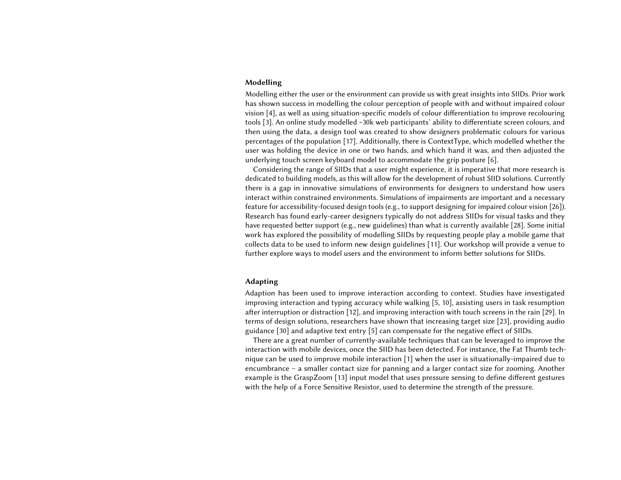### Modelling

Modelling either the user or the environment can provide us with great insights into SIIDs. Prior work has shown success in modelling the colour perception of people with and without impaired colour vision [\[4\]](#page-6-7), as well as using situation-specific models of colour differentiation to improve recolouring tools [\[3\]](#page-6-8). An online study modelled ~30k web participants' ability to differentiate screen colours, and then using the data, a design tool was created to show designers problematic colours for various percentages of the population [\[17\]](#page-7-14). Additionally, there is ContextType, which modelled whether the user was holding the device in one or two hands, and which hand it was, and then adjusted the underlying touch screen keyboard model to accommodate the grip posture [\[6\]](#page-6-9).

Considering the range of SIIDs that a user might experience, it is imperative that more research is dedicated to building models, as this will allow for the development of robust SIID solutions. Currently there is a gap in innovative simulations of environments for designers to understand how users interact within constrained environments. Simulations of impairments are important and a necessary feature for accessibility-focused design tools (e.g., to support designing for impaired colour vision [\[26\]](#page-7-15)). Research has found early-career designers typically do not address SIIDs for visual tasks and they have requested better support (e.g., new guidelines) than what is currently available [\[28\]](#page-7-16). Some initial work has explored the possibility of modelling SIIDs by requesting people play a mobile game that collects data to be used to inform new design guidelines [\[11\]](#page-6-10). Our workshop will provide a venue to further explore ways to model users and the environment to inform better solutions for SIIDs.

#### Adapting

Adaption has been used to improve interaction according to context. Studies have investigated improving interaction and typing accuracy while walking [\[5,](#page-6-6) [10\]](#page-6-11), assisting users in task resumption after interruption or distraction [\[12\]](#page-6-12), and improving interaction with touch screens in the rain [\[29\]](#page-7-17). In terms of design solutions, researchers have shown that increasing target size [\[23\]](#page-7-18), providing audio guidance [\[30\]](#page-7-19) and adaptive text entry [\[5\]](#page-6-6) can compensate for the negative effect of SIIDs.

There are a great number of currently-available techniques that can be leveraged to improve the interaction with mobile devices, once the SIID has been detected. For instance, the Fat Thumb technique can be used to improve mobile interaction [\[1\]](#page-6-13) when the user is situationally-impaired due to encumbrance – a smaller contact size for panning and a larger contact size for zooming. Another example is the GraspZoom [\[13\]](#page-6-14) input model that uses pressure sensing to define different gestures with the help of a Force Sensitive Resistor, used to determine the strength of the pressure.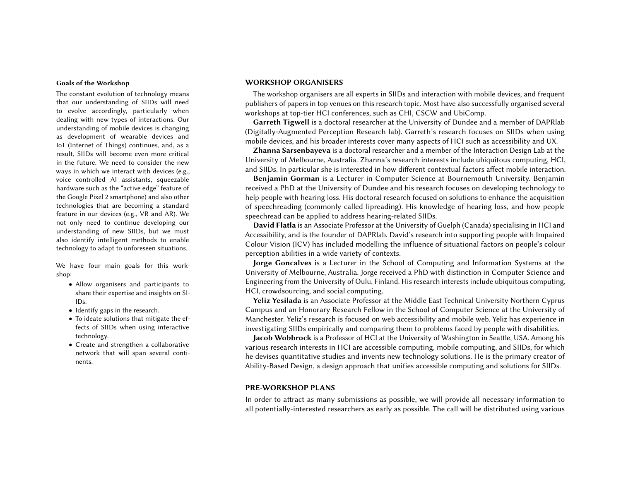The constant evolution of technology means that our understanding of SIIDs will need to evolve accordingly, particularly when dealing with new types of interactions. Our understanding of mobile devices is changing as development of wearable devices and IoT (Internet of Things) continues, and, as a result, SIIDs will become even more critical in the future. We need to consider the new ways in which we interact with devices (e.g., voice controlled AI assistants, squeezable hardware such as the "active edge" feature of the Google Pixel 2 smartphone) and also other technologies that are becoming a standard feature in our devices (e.g., VR and AR). We not only need to continue developing our understanding of new SIIDs, but we must also identify intelligent methods to enable technology to adapt to unforeseen situations.

We have four main goals for this workshop:

- Allow organisers and participants to share their expertise and insights on SI-IDs.
- Identify gaps in the research.
- To ideate solutions that mitigate the effects of SIIDs when using interactive technology.
- Create and strengthen a collaborative network that will span several continents.

#### Goals of the Workshop WORKSHOP ORGANISERS

The workshop organisers are all experts in SIIDs and interaction with mobile devices, and frequent publishers of papers in top venues on this research topic. Most have also successfully organised several workshops at top-tier HCI conferences, such as CHI, CSCW and UbiComp.

Garreth Tigwell is a doctoral researcher at the University of Dundee and a member of DAPRlab (Digitally-Augmented Perception Research lab). Garreth's research focuses on SIIDs when using mobile devices, and his broader interests cover many aspects of HCI such as accessibility and UX.

Zhanna Sarsenbayeva is a doctoral researcher and a member of the Interaction Design Lab at the University of Melbourne, Australia. Zhanna's research interests include ubiquitous computing, HCI, and SIIDs. In particular she is interested in how different contextual factors affect mobile interaction.

Benjamin Gorman is a Lecturer in Computer Science at Bournemouth University. Benjamin received a PhD at the University of Dundee and his research focuses on developing technology to help people with hearing loss. His doctoral research focused on solutions to enhance the acquisition of speechreading (commonly called lipreading). His knowledge of hearing loss, and how people speechread can be applied to address hearing-related SIIDs.

David Flatla is an Associate Professor at the University of Guelph (Canada) specialising in HCI and Accessibility, and is the founder of DAPRlab. David's research into supporting people with Impaired Colour Vision (ICV) has included modelling the influence of situational factors on people's colour perception abilities in a wide variety of contexts.

Jorge Goncalves is a Lecturer in the School of Computing and Information Systems at the University of Melbourne, Australia. Jorge received a PhD with distinction in Computer Science and Engineering from the University of Oulu, Finland. His research interests include ubiquitous computing, HCI, crowdsourcing, and social computing.

Yeliz Yesilada is an Associate Professor at the Middle East Technical University Northern Cyprus Campus and an Honorary Research Fellow in the School of Computer Science at the University of Manchester. Yeliz's research is focused on web accessibility and mobile web. Yeliz has experience in investigating SIIDs empirically and comparing them to problems faced by people with disabilities.

Jacob Wobbrock is a Professor of HCI at the University of Washington in Seattle, USA. Among his various research interests in HCI are accessible computing, mobile computing, and SIIDs, for which he devises quantitative studies and invents new technology solutions. He is the primary creator of Ability-Based Design, a design approach that unifies accessible computing and solutions for SIIDs.

### PRE-WORKSHOP PLANS

In order to attract as many submissions as possible, we will provide all necessary information to all potentially-interested researchers as early as possible. The call will be distributed using various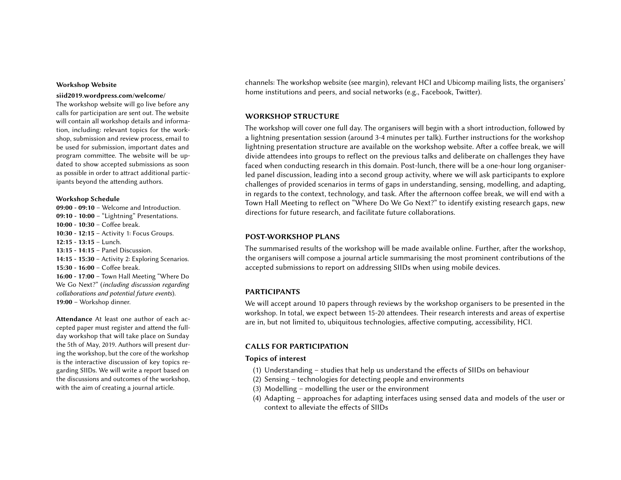#### Workshop Website

#### [siid2019.wordpress.com/welcome/](https://siid2019.wordpress.com/welcome/)

The workshop website will go live before any calls for participation are sent out. The website will contain all workshop details and information, including: relevant topics for the workshop, submission and review process, email to be used for submission, important dates and program committee. The website will be updated to show accepted submissions as soon as possible in order to attract additional participants beyond the attending authors.

#### Workshop Schedule

09:00 - 09:10 – Welcome and Introduction. 09:10 - 10:00 - "Lightning" Presentations. 10:00 - 10:30 – Coffee break. 10:30 - 12:15 – Activity 1: Focus Groups. 12:15 - 13:15 – Lunch. 13:15 - 14:15 – Panel Discussion. 14:15 - 15:30 – Activity 2: Exploring Scenarios. 15:30 - 16:00 – Coffee break. 16:00 - 17:00 – Town Hall Meeting "Where Do We Go Next?" (including discussion regarding collaborations and potential future events). 19:00 – Workshop dinner.

cepted paper must register and attend the fullday workshop that will take place on Sunday the 5th of May, 2019. Authors will present during the workshop, but the core of the workshop is the interactive discussion of key topics regarding SIIDs. We will write a report based on the discussions and outcomes of the workshop, with the aim of creating a journal article.

channels: The workshop website (see margin), relevant HCI and Ubicomp mailing lists, the organisers' home institutions and peers, and social networks (e.g., Facebook, Twitter).

# WORKSHOP STRUCTURE

The workshop will cover one full day. The organisers will begin with a short introduction, followed by a lightning presentation session (around 3-4 minutes per talk). Further instructions for the workshop lightning presentation structure are available on the workshop website. After a coffee break, we will divide attendees into groups to reflect on the previous talks and deliberate on challenges they have faced when conducting research in this domain. Post-lunch, there will be a one-hour long organiserled panel discussion, leading into a second group activity, where we will ask participants to explore challenges of provided scenarios in terms of gaps in understanding, sensing, modelling, and adapting, in regards to the context, technology, and task. After the afternoon coffee break, we will end with a Town Hall Meeting to reflect on "Where Do We Go Next?" to identify existing research gaps, new directions for future research, and facilitate future collaborations.

# POST-WORKSHOP PLANS

The summarised results of the workshop will be made available online. Further, after the workshop, the organisers will compose a journal article summarising the most prominent contributions of the accepted submissions to report on addressing SIIDs when using mobile devices.

# PARTICIPANTS

We will accept around 10 papers through reviews by the workshop organisers to be presented in the workshop. In total, we expect between 15-20 attendees. Their research interests and areas of expertise Attendance At least one author of each ac-<br>are in, but not limited to, ubiquitous technologies, affective computing, accessibility, HCI.

# CALLS FOR PARTICIPATION

### Topics of interest

- (1) Understanding studies that help us understand the effects of SIIDs on behaviour
- (2) Sensing technologies for detecting people and environments
- (3) Modelling modelling the user or the environment
- (4) Adapting approaches for adapting interfaces using sensed data and models of the user or context to alleviate the effects of SIIDs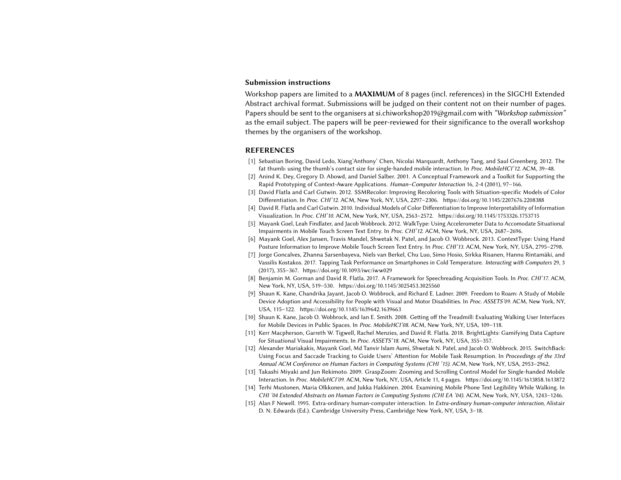#### Submission instructions

Workshop papers are limited to a **MAXIMUM** of 8 pages (incl. references) in the SIGCHI Extended Abstract archival format. Submissions will be judged on their content not on their number of pages. Papers should be sent to the organisers at [si.chiworkshop2019@gmail.com](mailto: si.chiworkshop2019@gmail.com) with "Workshop submission" as the email subject. The papers will be peer-reviewed for their significance to the overall workshop themes by the organisers of the workshop.

#### REFERENCES

- <span id="page-6-13"></span>[1] Sebastian Boring, David Ledo, Xiang'Anthony' Chen, Nicolai Marquardt, Anthony Tang, and Saul Greenberg. 2012. The fat thumb: using the thumb's contact size for single-handed mobile interaction. In Proc. MobileHCI'12. ACM, 39-48.
- <span id="page-6-1"></span>[2] Anind K. Dey, Gregory D. Abowd, and Daniel Salber. 2001. A Conceptual Framework and a Toolkit for Supporting the Rapid Prototyping of Context-Aware Applications. Human–Computer Interaction 16, 2-4 (2001), 97–166.
- <span id="page-6-8"></span>[3] David Flatla and Carl Gutwin. 2012. SSMRecolor: Improving Recoloring Tools with Situation-specific Models of Color Differentiation. In Proc. CHI'12. ACM, New York, NY, USA, 2297–2306.<https://doi.org/10.1145/2207676.2208388>
- <span id="page-6-7"></span>[4] David R. Flatla and Carl Gutwin. 2010. Individual Models of Color Differentiation to Improve Interpretability of Information Visualization. In Proc. CHI'10. ACM, New York, NY, USA, 2563–2572.<https://doi.org/10.1145/1753326.1753715>
- <span id="page-6-6"></span>[5] Mayank Goel, Leah Findlater, and Jacob Wobbrock. 2012. WalkType: Using Accelerometer Data to Accomodate Situational Impairments in Mobile Touch Screen Text Entry. In Proc. CHI'12. ACM, New York, NY, USA, 2687–2696.
- <span id="page-6-9"></span>[6] Mayank Goel, Alex Jansen, Travis Mandel, Shwetak N. Patel, and Jacob O. Wobbrock. 2013. ContextType: Using Hand Posture Information to Improve Mobile Touch Screen Text Entry. In Proc. CHI'13. ACM, New York, NY, USA, 2795–2798.
- <span id="page-6-3"></span>[7] Jorge Goncalves, Zhanna Sarsenbayeva, Niels van Berkel, Chu Luo, Simo Hosio, Sirkka Risanen, Hannu Rintamäki, and Vassilis Kostakos. 2017. Tapping Task Performance on Smartphones in Cold Temperature. Interacting with Computers 29, 3 (2017), 355–367.<https://doi.org/10.1093/iwc/iww029>
- <span id="page-6-5"></span>[8] Benjamin M. Gorman and David R. Flatla. 2017. A Framework for Speechreading Acquisition Tools. In Proc. CHI'17. ACM, New York, NY, USA, 519–530.<https://doi.org/10.1145/3025453.3025560>
- <span id="page-6-4"></span>[9] Shaun K. Kane, Chandrika Jayant, Jacob O. Wobbrock, and Richard E. Ladner. 2009. Freedom to Roam: A Study of Mobile Device Adoption and Accessibility for People with Visual and Motor Disabilities. In Proc. ASSETS'09. ACM, New York, NY, USA, 115–122.<https://doi.org/10.1145/1639642.1639663>
- <span id="page-6-11"></span>[10] Shaun K. Kane, Jacob O. Wobbrock, and Ian E. Smith. 2008. Getting off the Treadmill: Evaluating Walking User Interfaces for Mobile Devices in Public Spaces. In Proc. MobileHCI'08. ACM, New York, NY, USA, 109-118.
- <span id="page-6-10"></span>[11] Kerr Macpherson, Garreth W. Tigwell, Rachel Menzies, and David R. Flatla. 2018. BrightLights: Gamifying Data Capture for Situational Visual Impairments. In Proc. ASSETS'18. ACM, New York, NY, USA, 355–357.
- <span id="page-6-12"></span>[12] Alexander Mariakakis, Mayank Goel, Md Tanvir Islam Aumi, Shwetak N. Patel, and Jacob O. Wobbrock. 2015. SwitchBack: Using Focus and Saccade Tracking to Guide Users' Attention for Mobile Task Resumption. In Proceedings of the 33rd Annual ACM Conference on Human Factors in Computing Systems (CHI '15). ACM, New York, NY, USA, 2953–2962.
- <span id="page-6-14"></span>[13] Takashi Miyaki and Jun Rekimoto. 2009. GraspZoom: Zooming and Scrolling Control Model for Single-handed Mobile Interaction. In Proc. MobileHCI'09. ACM, New York, NY, USA, Article 11, 4 pages.<https://doi.org/10.1145/1613858.1613872>
- <span id="page-6-2"></span>[14] Terhi Mustonen, Maria Olkkonen, and Jukka Hakkinen. 2004. Examining Mobile Phone Text Legibility While Walking. In CHI '04 Extended Abstracts on Human Factors in Computing Systems (CHI EA '04). ACM, New York, NY, USA, 1243–1246.
- <span id="page-6-0"></span>[15] Alan F Newell. 1995. Extra-ordinary human-computer interaction. In Extra-ordinary human-computer interaction, Alistair D. N. Edwards (Ed.). Cambridge University Press, Cambridge New York, NY, USA, 3–18.